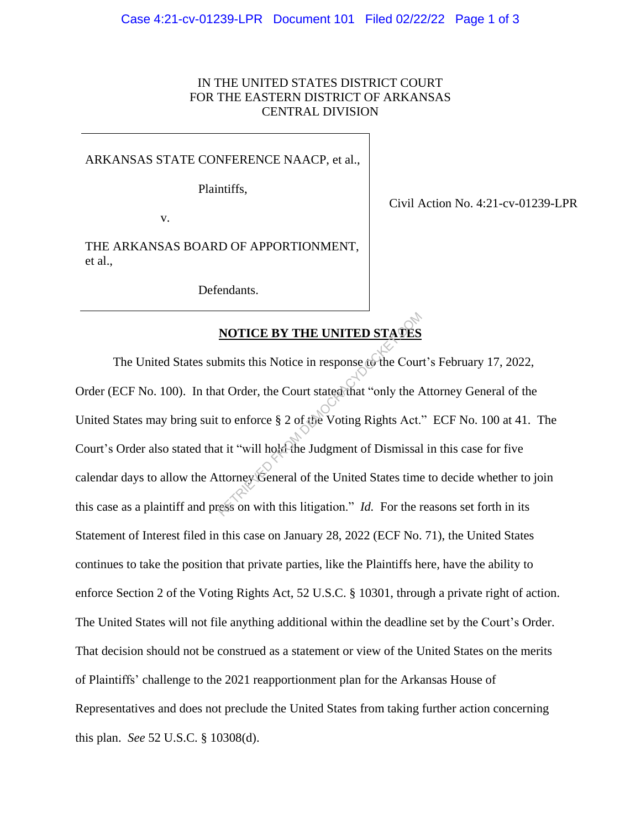### IN THE UNITED STATES DISTRICT COURT FOR THE EASTERN DISTRICT OF ARKANSAS CENTRAL DIVISION

#### ARKANSAS STATE CONFERENCE NAACP, et al.,

Plaintiffs,

v.

THE ARKANSAS BOARD OF APPORTIONMENT, et al.,

Defendants.

## Civil Action No. 4:21-cv-01239-LPR

# **NOTICE BY THE UNITED STATES**

The United States submits this Notice in response to the Court's February 17, 2022, Order (ECF No. 100). In that Order, the Court stated that "only the Attorney General of the United States may bring suit to enforce § 2 of the Voting Rights Act." ECF No. 100 at 41. The Court's Order also stated that it "will hold the Judgment of Dismissal in this case for five calendar days to allow the Attorney General of the United States time to decide whether to join this case as a plaintiff and press on with this litigation." *Id.* For the reasons set forth in its Statement of Interest filed in this case on January 28, 2022 (ECF No. 71), the United States continues to take the position that private parties, like the Plaintiffs here, have the ability to enforce Section 2 of the Voting Rights Act, 52 U.S.C. § 10301, through a private right of action. The United States will not file anything additional within the deadline set by the Court's Order. That decision should not be construed as a statement or view of the United States on the merits of Plaintiffs' challenge to the 2021 reapportionment plan for the Arkansas House of Representatives and does not preclude the United States from taking further action concerning this plan. *See* 52 U.S.C. § 10308(d). NOTICE BY THE UNITED STATES<br>bmits this Notice in response to the Cour<br>at Order, the Court stated that "only the A<br>to enforce § 2 of the Voting Rights Act."<br>it it "will hold the Judgment of Dismissal<br>ttorney General of the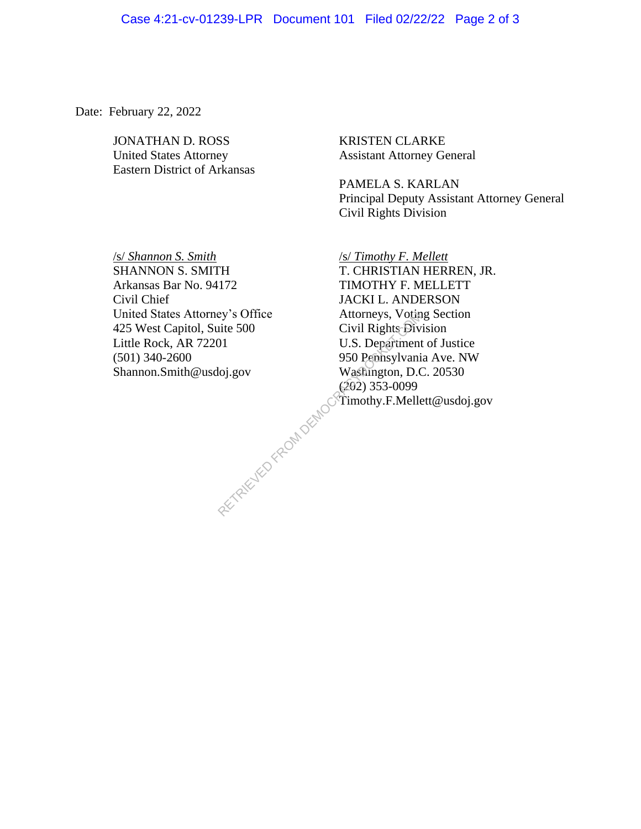### Case 4:21-cv-01239-LPR Document 101 Filed 02/22/22 Page 2 of 3

Date: February 22, 2022

JONATHAN D. ROSS KRISTEN CLARKE United States Attorney Assistant Attorney General Eastern District of Arkansas

PAMELA S. KARLAN Principal Deputy Assistant Attorney General Civil Rights Division

/s/ *Shannon S. Smith* /s/ *Timothy F. Mellett* Arkansas Bar No. 94172 TIMOTHY F. MELLETT Civil Chief JACKI L. ANDERSON United States Attorney's Office Attorneys, Voting Section<br>
425 West Capitol, Suite 500 Civil Rights Division 425 West Capitol, Suite 500 Civil Rights Division Little Rock, AR 72201 U.S. Department of Justice (501) 340-2600 950 Pennsylvania Ave. NW Shannon.Smith@usdoj.gov Washington, D.C. 20530

SHANNON S. SMITH T. CHRISTIAN HERREN, JR. (202) 353-0099 Timothy.F.Mellett@usdoj.gov ey's Office<br>
iite 500 Civil Rights-Div<br>
OI1 U.S. Department<br>
950 Pennsylvani<br>
Washington, D.C<br>
(292) 353-0099<br>
Timothy.F.Melle